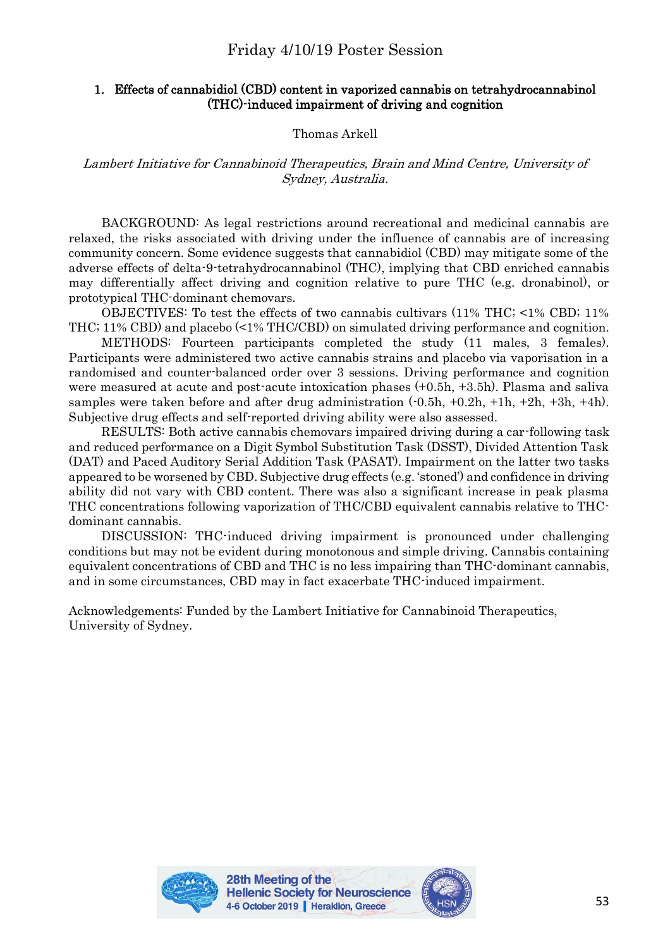# Friday 4/10/19 Poster Session

## 1. Effects of cannabidiol (CBD) content in vaporized cannabis on tetrahydrocannabinol (THC)-induced impairment of driving and cognition

# Thomas Arkell

## Lambert Initiative for Cannabinoid Therapeutics, Brain and Mind Centre, University of Sydney, Australia.

BACKGROUND: As legal restrictions around recreational and medicinal cannabis are relaxed, the risks associated with driving under the influence of cannabis are of increasing community concern. Some evidence suggests that cannabidiol (CBD) may mitigate some of the adverse effects of delta-9-tetrahydrocannabinol (THC), implying that CBD enriched cannabis may differentially affect driving and cognition relative to pure THC (e.g. dronabinol), or prototypical THC-dominant chemovars.

OBJECTIVES: To test the effects of two cannabis cultivars (11% THC; <1% CBD; 11% THC; 11% CBD) and placebo (<1% THC/CBD) on simulated driving performance and cognition.

METHODS: Fourteen participants completed the study (11 males, 3 females). Participants were administered two active cannabis strains and placebo via vaporisation in a randomised and counter-balanced order over 3 sessions. Driving performance and cognition were measured at acute and post-acute intoxication phases (+0.5h, +3.5h). Plasma and saliva samples were taken before and after drug administration  $(-0.5h, +0.2h, +1h, +2h, +3h, +4h)$ . Subjective drug effects and self-reported driving ability were also assessed.

RESULTS: Both active cannabis chemovars impaired driving during a car-following task and reduced performance on a Digit Symbol Substitution Task (DSST), Divided Attention Task (DAT) and Paced Auditory Serial Addition Task (PASAT). Impairment on the latter two tasks appeared to be worsened by CBD. Subjective drug effects (e.g. 'stoned') and confidence in driving ability did not vary with CBD content. There was also a significant increase in peak plasma THC concentrations following vaporization of THC/CBD equivalent cannabis relative to THCdominant cannabis.

DISCUSSION: THC-induced driving impairment is pronounced under challenging conditions but may not be evident during monotonous and simple driving. Cannabis containing equivalent concentrations of CBD and THC is no less impairing than THC-dominant cannabis, and in some circumstances, CBD may in fact exacerbate THC-induced impairment.

Acknowledgements: Funded by the Lambert Initiative for Cannabinoid Therapeutics, University of Sydney.



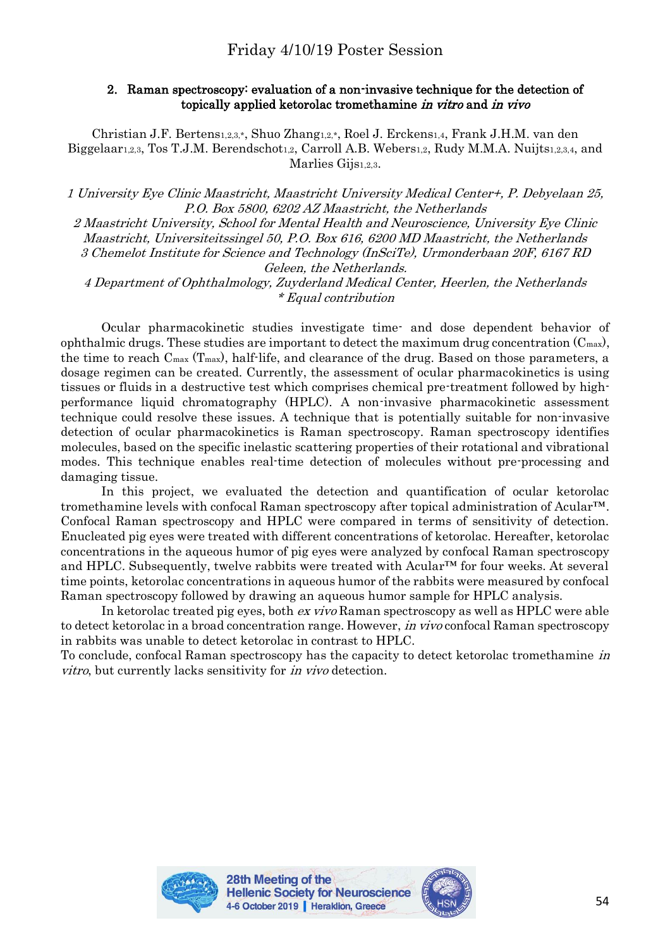## 2. Raman spectroscopy: evaluation of a non-invasive technique for the detection of topically applied ketorolac tromethamine in vitro and in vivo

Christian J.F. Bertens1,2,3,\*, Shuo Zhang1,2,\*, Roel J. Erckens1,4, Frank J.H.M. van den Biggelaar<sub>1,2,3</sub>, Tos T.J.M. Berendschot<sub>1,2</sub>, Carroll A.B. Webers<sub>1,2</sub>, Rudy M.M.A. Nuijts<sub>1,2,3,4</sub>, and Marlies Gijs1,2,3.

1 University Eye Clinic Maastricht, Maastricht University Medical Center+, P. Debyelaan 25, P.O. Box 5800, 6202 AZ Maastricht, the Netherlands

2 Maastricht University, School for Mental Health and Neuroscience, University Eye Clinic Maastricht, Universiteitssingel 50, P.O. Box 616, 6200 MD Maastricht, the Netherlands 3 Chemelot Institute for Science and Technology (InSciTe), Urmonderbaan 20F, 6167 RD Geleen, the Netherlands. 4 Department of Ophthalmology, Zuyderland Medical Center, Heerlen, the Netherlands \* Equal contribution

Ocular pharmacokinetic studies investigate time- and dose dependent behavior of ophthalmic drugs. These studies are important to detect the maximum drug concentration  $(C_{\text{max}})$ , the time to reach  $C_{\text{max}}$  (T<sub>max</sub>), half-life, and clearance of the drug. Based on those parameters, a dosage regimen can be created. Currently, the assessment of ocular pharmacokinetics is using tissues or fluids in a destructive test which comprises chemical pre-treatment followed by highperformance liquid chromatography (HPLC). A non-invasive pharmacokinetic assessment technique could resolve these issues. A technique that is potentially suitable for non-invasive detection of ocular pharmacokinetics is Raman spectroscopy. Raman spectroscopy identifies molecules, based on the specific inelastic scattering properties of their rotational and vibrational modes. This technique enables real-time detection of molecules without pre-processing and damaging tissue.

In this project, we evaluated the detection and quantification of ocular ketorolac tromethamine levels with confocal Raman spectroscopy after topical administration of Acular™. Confocal Raman spectroscopy and HPLC were compared in terms of sensitivity of detection. Enucleated pig eyes were treated with different concentrations of ketorolac. Hereafter, ketorolac concentrations in the aqueous humor of pig eyes were analyzed by confocal Raman spectroscopy and HPLC. Subsequently, twelve rabbits were treated with Acular<sup>™</sup> for four weeks. At several time points, ketorolac concentrations in aqueous humor of the rabbits were measured by confocal Raman spectroscopy followed by drawing an aqueous humor sample for HPLC analysis.

In ketorolac treated pig eyes, both ex vivo Raman spectroscopy as well as HPLC were able to detect ketorolac in a broad concentration range. However, *in vivo* confocal Raman spectroscopy in rabbits was unable to detect ketorolac in contrast to HPLC.

To conclude, confocal Raman spectroscopy has the capacity to detect ketorolac tromethamine in vitro, but currently lacks sensitivity for in vivo detection.



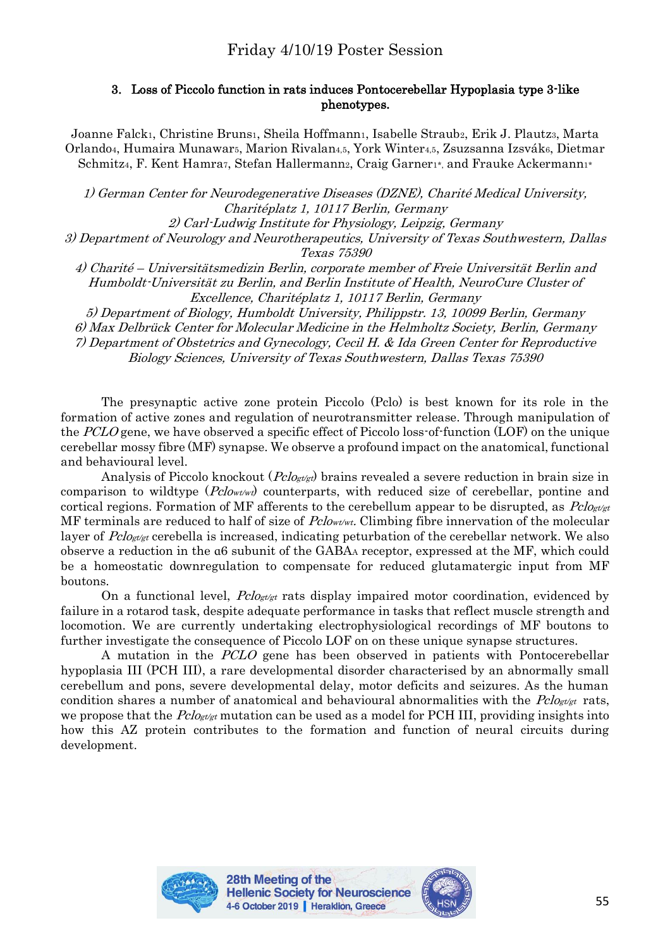# 3. Loss of Piccolo function in rats induces Pontocerebellar Hypoplasia type 3-like phenotypes.

Joanne Falck1, Christine Bruns1, Sheila Hoffmann1, Isabelle Straub2, Erik J. Plautz3, Marta Orlando4, Humaira Munawar5, Marion Rivalan4,5, York Winter4,5, Zsuzsanna Izsvák6, Dietmar Schmitz<sub>4</sub>, F. Kent Hamra7, Stefan Hallermann2, Craig Garner1<sup>\*</sup>, and Frauke Ackermann1<sup>\*</sup>

1) German Center for Neurodegenerative Diseases (DZNE), Charité Medical University, Charitéplatz 1, 10117 Berlin, Germany

2) Carl-Ludwig Institute for Physiology, Leipzig, Germany

3) Department of Neurology and Neurotherapeutics, University of Texas Southwestern, Dallas Texas 75390

4) Charité – Universitätsmedizin Berlin, corporate member of Freie Universität Berlin and Humboldt-Universität zu Berlin, and Berlin Institute of Health, NeuroCure Cluster of Excellence, Charitéplatz 1, 10117 Berlin, Germany

5) Department of Biology, Humboldt University, Philippstr. 13, 10099 Berlin, Germany 6) Max Delbrück Center for Molecular Medicine in the Helmholtz Society, Berlin, Germany 7) Department of Obstetrics and Gynecology, Cecil H. & Ida Green Center for Reproductive Biology Sciences, University of Texas Southwestern, Dallas Texas 75390

The presynaptic active zone protein Piccolo (Pclo) is best known for its role in the formation of active zones and regulation of neurotransmitter release. Through manipulation of the PCLO gene, we have observed a specific effect of Piccolo loss-of-function (LOF) on the unique cerebellar mossy fibre (MF) synapse. We observe a profound impact on the anatomical, functional and behavioural level.

Analysis of Piccolo knockout  $(Pclo_{\text{set}})$  brains revealed a severe reduction in brain size in comparison to wildtype  $(Pclow \text{t} \text{w})$  counterparts, with reduced size of cerebellar, pontine and cortical regions. Formation of MF afferents to the cerebellum appear to be disrupted, as  $P_{\text{clock}}$ MF terminals are reduced to half of size of  $Pclow<sub>tw</sub>$ . Climbing fibre innervation of the molecular layer of  $P_{\text{clogt/gt}}$  cerebella is increased, indicating peturbation of the cerebellar network. We also observe a reduction in the ɑ6 subunit of the GABA<sup>A</sup> receptor, expressed at the MF, which could be a homeostatic downregulation to compensate for reduced glutamatergic input from MF boutons.

On a functional level,  $P_{\text{clg}_{\text{g}}/\text{g}_{\text{g}}}$  rats display impaired motor coordination, evidenced by failure in a rotarod task, despite adequate performance in tasks that reflect muscle strength and locomotion. We are currently undertaking electrophysiological recordings of MF boutons to further investigate the consequence of Piccolo LOF on on these unique synapse structures.

A mutation in the PCLO gene has been observed in patients with Pontocerebellar hypoplasia III (PCH III), a rare developmental disorder characterised by an abnormally small cerebellum and pons, severe developmental delay, motor deficits and seizures. As the human condition shares a number of anatomical and behavioural abnormalities with the  $Pclo_{\varepsilon\ell\alpha t}$  rats, we propose that the  $Pclo_{gt/gt}$  mutation can be used as a model for PCH III, providing insights into how this AZ protein contributes to the formation and function of neural circuits during development.



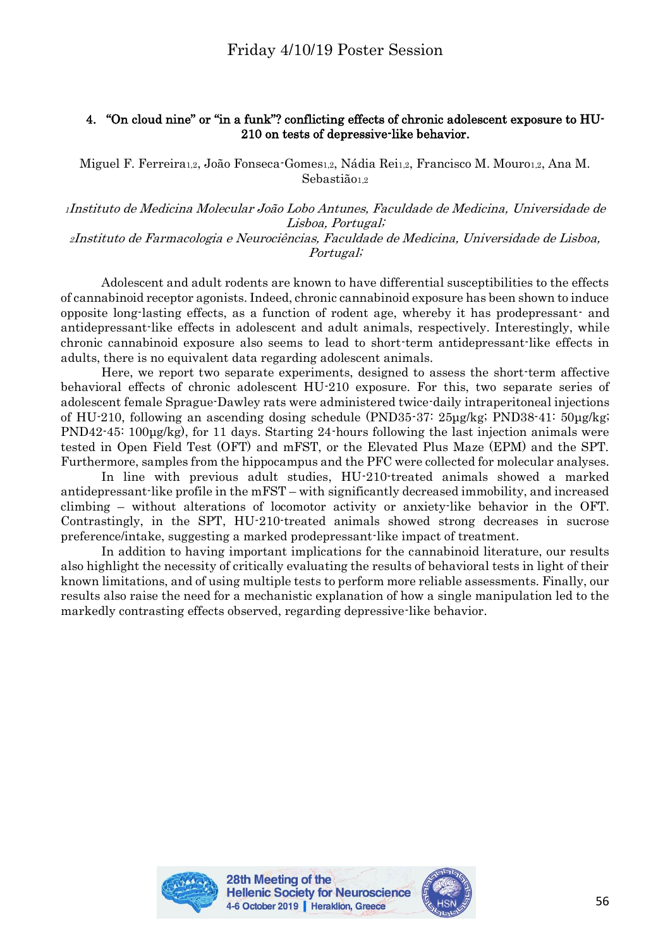## 4. "On cloud nine" or "in a funk"? conflicting effects of chronic adolescent exposure to HU-210 on tests of depressive-like behavior.

Miguel F. Ferreira1,2, João Fonseca-Gomes1,2, Nádia Rei1,2, Francisco M. Mouro1,2, Ana M. Sebastião<sub>1,2</sub>

<sup>1</sup>Instituto de Medicina Molecular João Lobo Antunes, Faculdade de Medicina, Universidade de Lisboa, Portugal;

<sup>2</sup>Instituto de Farmacologia e Neurociências, Faculdade de Medicina, Universidade de Lisboa, Portugal;

Adolescent and adult rodents are known to have differential susceptibilities to the effects of cannabinoid receptor agonists. Indeed, chronic cannabinoid exposure has been shown to induce opposite long-lasting effects, as a function of rodent age, whereby it has prodepressant- and antidepressant-like effects in adolescent and adult animals, respectively. Interestingly, while chronic cannabinoid exposure also seems to lead to short-term antidepressant-like effects in adults, there is no equivalent data regarding adolescent animals.

Here, we report two separate experiments, designed to assess the short-term affective behavioral effects of chronic adolescent HU-210 exposure. For this, two separate series of adolescent female Sprague-Dawley rats were administered twice-daily intraperitoneal injections of HU-210, following an ascending dosing schedule (PND35-37: 25μg/kg; PND38-41: 50μg/kg; PND42-45: 100μg/kg), for 11 days. Starting 24-hours following the last injection animals were tested in Open Field Test (OFT) and mFST, or the Elevated Plus Maze (EPM) and the SPT. Furthermore, samples from the hippocampus and the PFC were collected for molecular analyses.

In line with previous adult studies, HU-210-treated animals showed a marked antidepressant-like profile in the mFST – with significantly decreased immobility, and increased climbing – without alterations of locomotor activity or anxiety-like behavior in the OFT. Contrastingly, in the SPT, HU-210-treated animals showed strong decreases in sucrose preference/intake, suggesting a marked prodepressant-like impact of treatment.

In addition to having important implications for the cannabinoid literature, our results also highlight the necessity of critically evaluating the results of behavioral tests in light of their known limitations, and of using multiple tests to perform more reliable assessments. Finally, our results also raise the need for a mechanistic explanation of how a single manipulation led to the markedly contrasting effects observed, regarding depressive-like behavior.



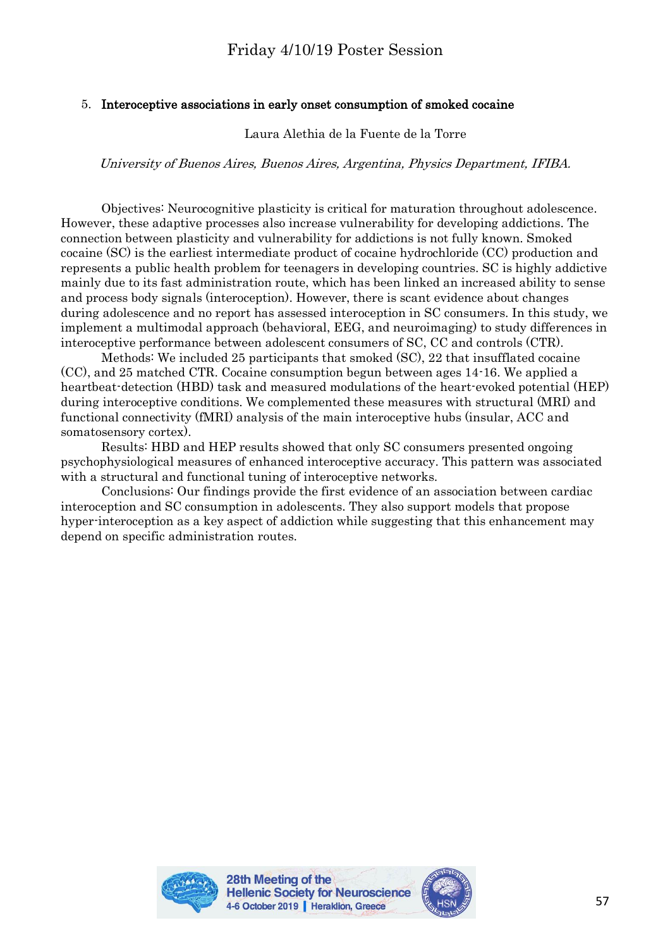## 5. Interoceptive associations in early onset consumption of smoked cocaine

Laura Alethia de la Fuente de la Torre

University of Buenos Aires, Buenos Aires, Argentina, Physics Department, IFIBA.

Objectives: Neurocognitive plasticity is critical for maturation throughout adolescence. However, these adaptive processes also increase vulnerability for developing addictions. The connection between plasticity and vulnerability for addictions is not fully known. Smoked cocaine (SC) is the earliest intermediate product of cocaine hydrochloride (CC) production and represents a public health problem for teenagers in developing countries. SC is highly addictive mainly due to its fast administration route, which has been linked an increased ability to sense and process body signals (interoception). However, there is scant evidence about changes during adolescence and no report has assessed interoception in SC consumers. In this study, we implement a multimodal approach (behavioral, EEG, and neuroimaging) to study differences in interoceptive performance between adolescent consumers of SC, CC and controls (CTR).

Methods: We included 25 participants that smoked (SC), 22 that insufflated cocaine (CC), and 25 matched CTR. Cocaine consumption begun between ages 14-16. We applied a heartbeat-detection (HBD) task and measured modulations of the heart-evoked potential (HEP) during interoceptive conditions. We complemented these measures with structural (MRI) and functional connectivity (fMRI) analysis of the main interoceptive hubs (insular, ACC and somatosensory cortex).

Results: HBD and HEP results showed that only SC consumers presented ongoing psychophysiological measures of enhanced interoceptive accuracy. This pattern was associated with a structural and functional tuning of interoceptive networks.

Conclusions: Our findings provide the first evidence of an association between cardiac interoception and SC consumption in adolescents. They also support models that propose hyper-interoception as a key aspect of addiction while suggesting that this enhancement may depend on specific administration routes.



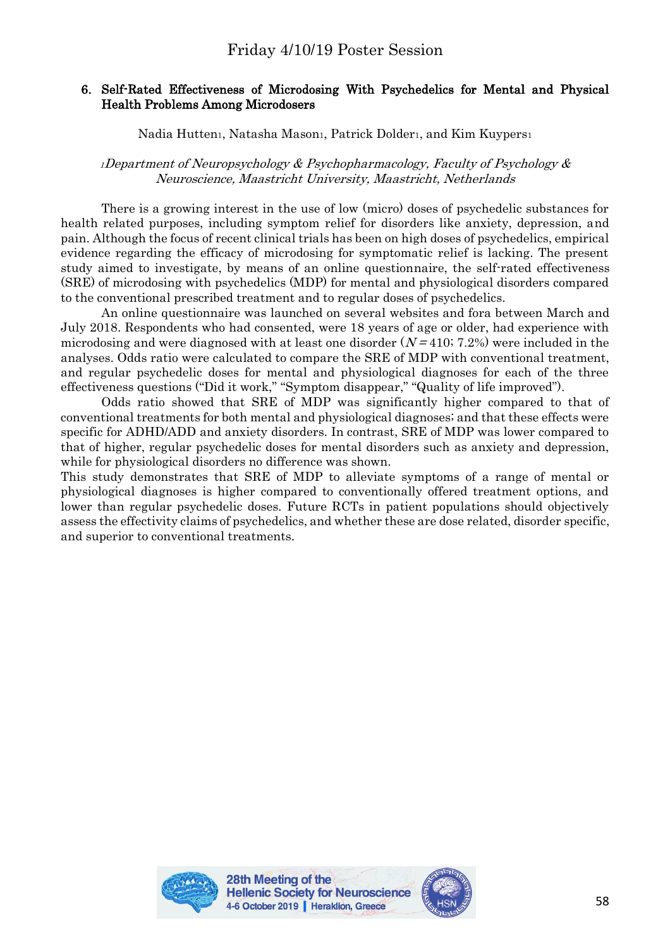# 6. Self-Rated Effectiveness of Microdosing With Psychedelics for Mental and Physical Health Problems Among Microdosers

# Nadia Hutten<sub>1</sub>, Natasha Mason1, Patrick Dolder1, and Kim Kuypers1

#### <sup>1</sup>Department of Neuropsychology & Psychopharmacology, Faculty of Psychology & Neuroscience, Maastricht University, Maastricht, Netherlands

There is a growing interest in the use of low (micro) doses of psychedelic substances for health related purposes, including symptom relief for disorders like anxiety, depression, and pain. Although the focus of recent clinical trials has been on high doses of psychedelics, empirical evidence regarding the efficacy of microdosing for symptomatic relief is lacking. The present study aimed to investigate, by means of an online questionnaire, the self-rated effectiveness (SRE) of microdosing with psychedelics (MDP) for mental and physiological disorders compared to the conventional prescribed treatment and to regular doses of psychedelics.

An online questionnaire was launched on several websites and fora between March and July 2018. Respondents who had consented, were 18 years of age or older, had experience with microdosing and were diagnosed with at least one disorder  $(N = 410, 7.2%)$  were included in the analyses. Odds ratio were calculated to compare the SRE of MDP with conventional treatment, and regular psychedelic doses for mental and physiological diagnoses for each of the three effectiveness questions ("Did it work," "Symptom disappear," "Quality of life improved").

Odds ratio showed that SRE of MDP was significantly higher compared to that of conventional treatments for both mental and physiological diagnoses; and that these effects were specific for ADHD/ADD and anxiety disorders. In contrast, SRE of MDP was lower compared to that of higher, regular psychedelic doses for mental disorders such as anxiety and depression, while for physiological disorders no difference was shown.

This study demonstrates that SRE of MDP to alleviate symptoms of a range of mental or physiological diagnoses is higher compared to conventionally offered treatment options, and lower than regular psychedelic doses. Future RCTs in patient populations should objectively assess the effectivity claims of psychedelics, and whether these are dose related, disorder specific, and superior to conventional treatments.



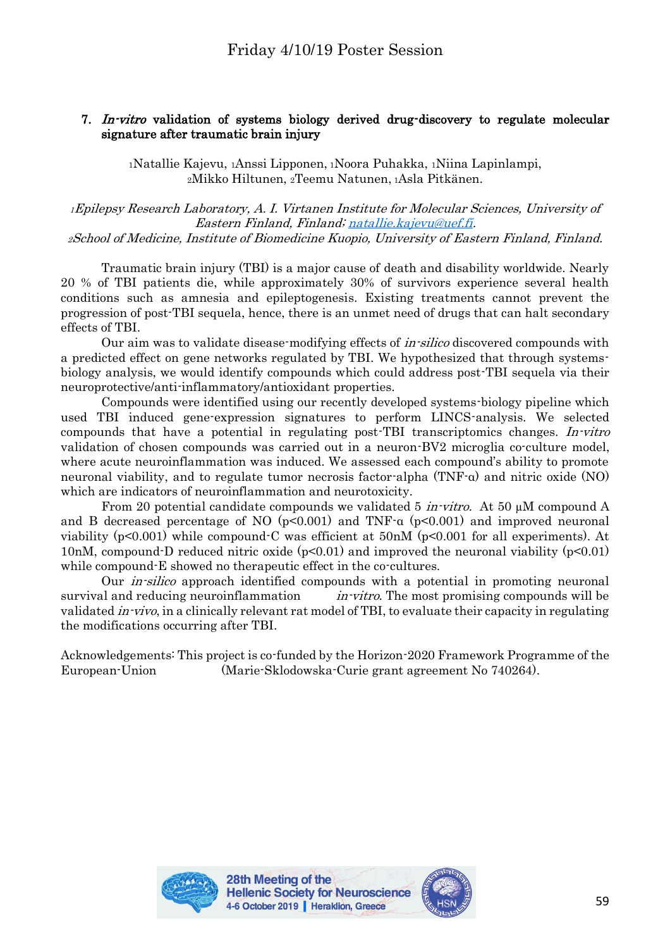## 7. In-vitro validation of systems biology derived drug-discovery to regulate molecular signature after traumatic brain injury

<sup>1</sup>Natallie Kajevu, 1Anssi Lipponen, <sup>1</sup>Noora Puhakka, 1Niina Lapinlampi, <sup>2</sup>Mikko Hiltunen, 2Teemu Natunen, <sup>1</sup>Asla Pitkänen.

<sup>1</sup>Epilepsy Research Laboratory, A. I. Virtanen Institute for Molecular Sciences, University of Eastern Finland, Finland[; natallie.kajevu@uef.fi.](mailto:natallie.kajevu@uef.fi) <sup>2</sup>School of Medicine, Institute of Biomedicine Kuopio, University of Eastern Finland, Finland.

Traumatic brain injury (TBI) is a major cause of death and disability worldwide. Nearly 20 % of TBI patients die, while approximately 30% of survivors experience several health conditions such as amnesia and epileptogenesis. Existing treatments cannot prevent the progression of post-TBI sequela, hence, there is an unmet need of drugs that can halt secondary effects of TBI.

Our aim was to validate disease-modifying effects of *in-silico* discovered compounds with a predicted effect on gene networks regulated by TBI. We hypothesized that through systemsbiology analysis, we would identify compounds which could address post-TBI sequela via their neuroprotective/anti-inflammatory/antioxidant properties.

Compounds were identified using our recently developed systems-biology pipeline which used TBI induced gene-expression signatures to perform LINCS-analysis. We selected compounds that have a potential in regulating post-TBI transcriptomics changes. In-vitro validation of chosen compounds was carried out in a neuron-BV2 microglia co-culture model, where acute neuroinflammation was induced. We assessed each compound's ability to promote neuronal viability, and to regulate tumor necrosis factor-alpha (TNF-α) and nitric oxide (NO) which are indicators of neuroinflammation and neurotoxicity.

From 20 potential candidate compounds we validated 5 *in-vitro*. At 50 µM compound A and B decreased percentage of NO  $(p<0.001)$  and TNF- $\alpha$   $(p<0.001)$  and improved neuronal viability (p<0.001) while compound-C was efficient at 50nM (p<0.001 for all experiments). At 10nM, compound-D reduced nitric oxide  $(p<0.01)$  and improved the neuronal viability  $(p<0.01)$ while compound-E showed no therapeutic effect in the co-cultures.

Our *in-silico* approach identified compounds with a potential in promoting neuronal survival and reducing neuroinflammation  $in\text{-}vitro$ . The most promising compounds will be validated in-vivo, in a clinically relevant rat model of TBI, to evaluate their capacity in regulating the modifications occurring after TBI.

Acknowledgements: This project is co-funded by the Horizon-2020 Framework Programme of the European-Union (Marie-Sklodowska-Curie grant agreement No 740264).



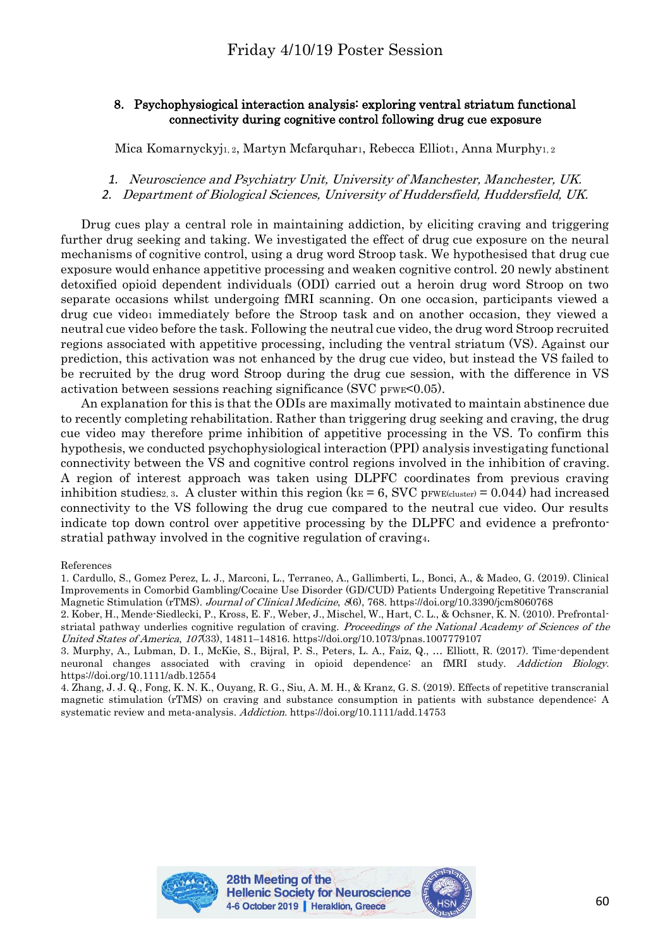## 8. Psychophysiogical interaction analysis: exploring ventral striatum functional connectivity during cognitive control following drug cue exposure

Mica Komarnyckyjı, 2, Martyn Mcfarquharı, Rebecca Ellioti, Anna Murphyi, 2

- *1.* Neuroscience and Psychiatry Unit, University of Manchester, Manchester, UK.
- *2.* Department of Biological Sciences, University of Huddersfield, Huddersfield, UK.

Drug cues play a central role in maintaining addiction, by eliciting craving and triggering further drug seeking and taking. We investigated the effect of drug cue exposure on the neural mechanisms of cognitive control, using a drug word Stroop task. We hypothesised that drug cue exposure would enhance appetitive processing and weaken cognitive control. 20 newly abstinent detoxified opioid dependent individuals (ODI) carried out a heroin drug word Stroop on two separate occasions whilst undergoing fMRI scanning. On one occasion, participants viewed a drug cue video1 immediately before the Stroop task and on another occasion, they viewed a neutral cue video before the task. Following the neutral cue video, the drug word Stroop recruited regions associated with appetitive processing, including the ventral striatum (VS). Against our prediction, this activation was not enhanced by the drug cue video, but instead the VS failed to be recruited by the drug word Stroop during the drug cue session, with the difference in VS activation between sessions reaching significance (SVC pFWE $\leq 0.05$ ).

An explanation for this is that the ODIs are maximally motivated to maintain abstinence due to recently completing rehabilitation. Rather than triggering drug seeking and craving, the drug cue video may therefore prime inhibition of appetitive processing in the VS. To confirm this hypothesis, we conducted psychophysiological interaction (PPI) analysis investigating functional connectivity between the VS and cognitive control regions involved in the inhibition of craving. A region of interest approach was taken using DLPFC coordinates from previous craving inhibition studies2, 3. A cluster within this region ( $k_E = 6$ , SVC pFWE(cluster) = 0.044) had increased connectivity to the VS following the drug cue compared to the neutral cue video. Our results indicate top down control over appetitive processing by the DLPFC and evidence a prefrontostratial pathway involved in the cognitive regulation of craving4.

References

4. Zhang, J. J. Q., Fong, K. N. K., Ouyang, R. G., Siu, A. M. H., & Kranz, G. S. (2019). Effects of repetitive transcranial magnetic stimulation (rTMS) on craving and substance consumption in patients with substance dependence: A systematic review and meta-analysis. Addiction. https://doi.org/10.1111/add.14753





<sup>1.</sup> Cardullo, S., Gomez Perez, L. J., Marconi, L., Terraneo, A., Gallimberti, L., Bonci, A., & Madeo, G. (2019). Clinical Improvements in Comorbid Gambling/Cocaine Use Disorder (GD/CUD) Patients Undergoing Repetitive Transcranial Magnetic Stimulation (rTMS). Journal of Clinical Medicine, 8(6), 768. https://doi.org/10.3390/jcm8060768

<sup>2.</sup> Kober, H., Mende-Siedlecki, P., Kross, E. F., Weber, J., Mischel, W., Hart, C. L., & Ochsner, K. N. (2010). Prefrontalstriatal pathway underlies cognitive regulation of craving. Proceedings of the National Academy of Sciences of the United States of America, 107(33), 14811–14816. https://doi.org/10.1073/pnas.1007779107

<sup>3.</sup> Murphy, A., Lubman, D. I., McKie, S., Bijral, P. S., Peters, L. A., Faiz, Q., … Elliott, R. (2017). Time-dependent neuronal changes associated with craving in opioid dependence: an fMRI study. Addiction Biology. https://doi.org/10.1111/adb.12554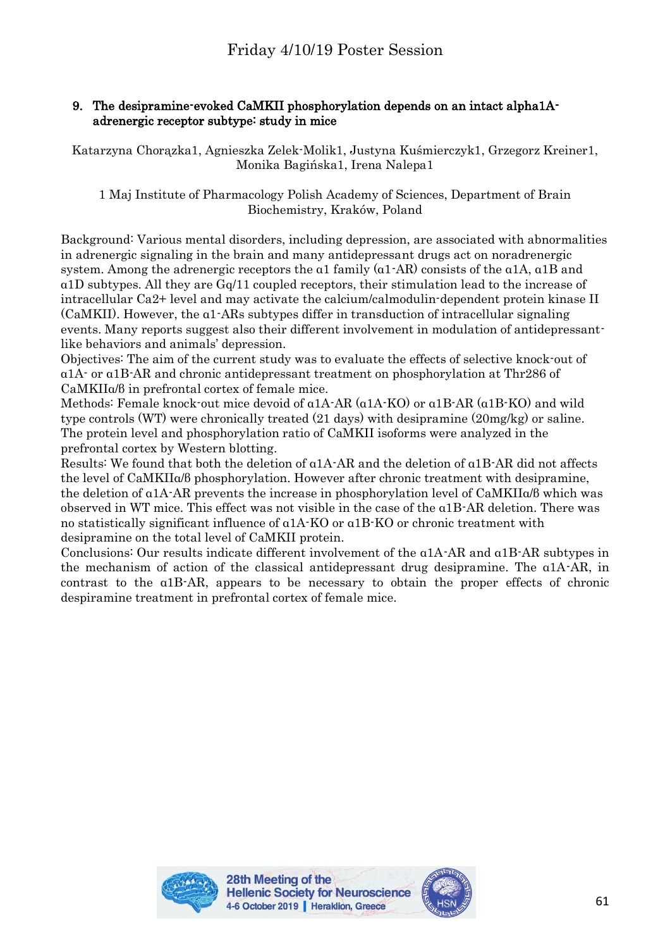# 9. The desipramine-evoked CaMKII phosphorylation depends on an intact alpha1Aadrenergic receptor subtype: study in mice

Katarzyna Chorązka1, Agnieszka Zelek-Molik1, Justyna Kuśmierczyk1, Grzegorz Kreiner1, Monika Bagińska1, Irena Nalepa1

1 Maj Institute of Pharmacology Polish Academy of Sciences, Department of Brain Biochemistry, Kraków, Poland

Background: Various mental disorders, including depression, are associated with abnormalities in adrenergic signaling in the brain and many antidepressant drugs act on noradrenergic system. Among the adrenergic receptors the α1 family (α1-AR) consists of the α1A, α1B and α1D subtypes. All they are Gq/11 coupled receptors, their stimulation lead to the increase of intracellular Ca2+ level and may activate the calcium/calmodulin-dependent protein kinase II (CaMKII). However, the α1-ARs subtypes differ in transduction of intracellular signaling events. Many reports suggest also their different involvement in modulation of antidepressantlike behaviors and animals' depression.

Objectives: The aim of the current study was to evaluate the effects of selective knock-out of α1A- or α1B-AR and chronic antidepressant treatment on phosphorylation at Thr286 of CaMKIIα/β in prefrontal cortex of female mice.

Methods: Female knock-out mice devoid of α1A-AR (α1A-KO) or α1B-AR (α1B-KO) and wild type controls (WT) were chronically treated (21 days) with desipramine (20mg/kg) or saline. The protein level and phosphorylation ratio of CaMKII isoforms were analyzed in the prefrontal cortex by Western blotting.

Results: We found that both the deletion of α1A-AR and the deletion of α1B-AR did not affects the level of CaMKIIα/β phosphorylation. However after chronic treatment with desipramine, the deletion of α1A-AR prevents the increase in phosphorylation level of CaMKIIα/β which was observed in WT mice. This effect was not visible in the case of the α1B-AR deletion. There was no statistically significant influence of α1A-KO or α1B-KO or chronic treatment with desipramine on the total level of CaMKII protein.

Conclusions: Our results indicate different involvement of the α1A-AR and α1B-AR subtypes in the mechanism of action of the classical antidepressant drug desipramine. The α1A-AR, in contrast to the α1B-AR, appears to be necessary to obtain the proper effects of chronic despiramine treatment in prefrontal cortex of female mice.



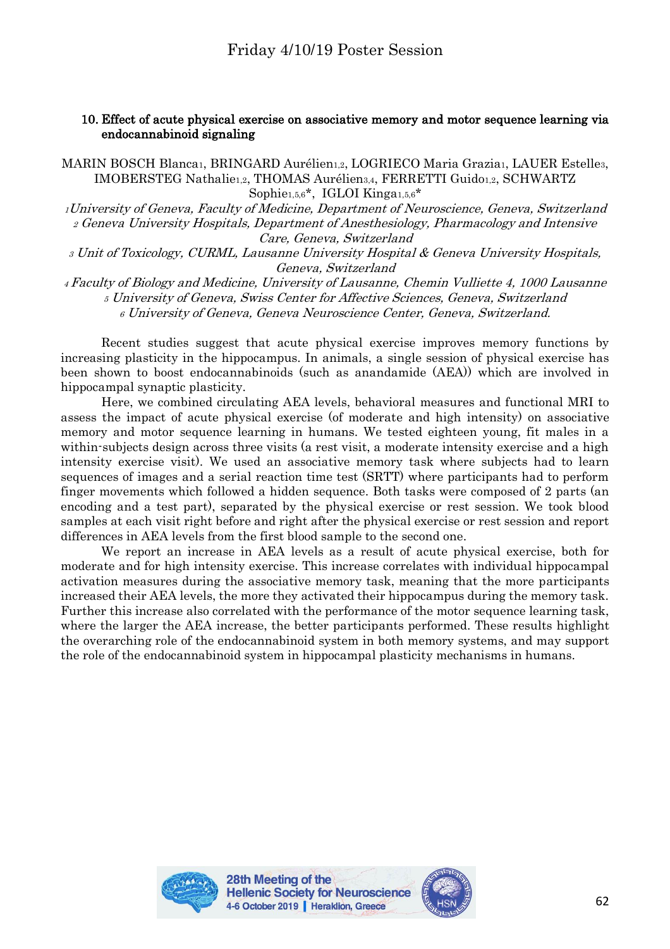#### 10. Effect of acute physical exercise on associative memory and motor sequence learning via endocannabinoid signaling

MARIN BOSCH Blanca1, BRINGARD Aurélien1,2, LOGRIECO Maria Grazia1, LAUER Estelle3, IMOBERSTEG Nathalie1,2, THOMAS Aurélien3,4, FERRETTI Guido1,2, SCHWARTZ Sophie1,5,6\*, IGLOI Kinga1,5,6\*

<sup>1</sup>University of Geneva, Faculty of Medicine, Department of Neuroscience, Geneva, Switzerland <sup>2</sup> Geneva University Hospitals, Department of Anesthesiology, Pharmacology and Intensive Care, Geneva, Switzerland

<sup>3</sup> Unit of Toxicology, CURML, Lausanne University Hospital & Geneva University Hospitals, Geneva, Switzerland

<sup>4</sup>Faculty of Biology and Medicine, University of Lausanne, Chemin Vulliette 4, 1000 Lausanne <sup>5</sup> University of Geneva, Swiss Center for Affective Sciences, Geneva, Switzerland <sup>6</sup> University of Geneva, Geneva Neuroscience Center, Geneva, Switzerland.

Recent studies suggest that acute physical exercise improves memory functions by increasing plasticity in the hippocampus. In animals, a single session of physical exercise has been shown to boost endocannabinoids (such as anandamide (AEA)) which are involved in hippocampal synaptic plasticity.

Here, we combined circulating AEA levels, behavioral measures and functional MRI to assess the impact of acute physical exercise (of moderate and high intensity) on associative memory and motor sequence learning in humans. We tested eighteen young, fit males in a within-subjects design across three visits (a rest visit, a moderate intensity exercise and a high intensity exercise visit). We used an associative memory task where subjects had to learn sequences of images and a serial reaction time test (SRTT) where participants had to perform finger movements which followed a hidden sequence. Both tasks were composed of 2 parts (an encoding and a test part), separated by the physical exercise or rest session. We took blood samples at each visit right before and right after the physical exercise or rest session and report differences in AEA levels from the first blood sample to the second one.

We report an increase in AEA levels as a result of acute physical exercise, both for moderate and for high intensity exercise. This increase correlates with individual hippocampal activation measures during the associative memory task, meaning that the more participants increased their AEA levels, the more they activated their hippocampus during the memory task. Further this increase also correlated with the performance of the motor sequence learning task, where the larger the AEA increase, the better participants performed. These results highlight the overarching role of the endocannabinoid system in both memory systems, and may support the role of the endocannabinoid system in hippocampal plasticity mechanisms in humans.



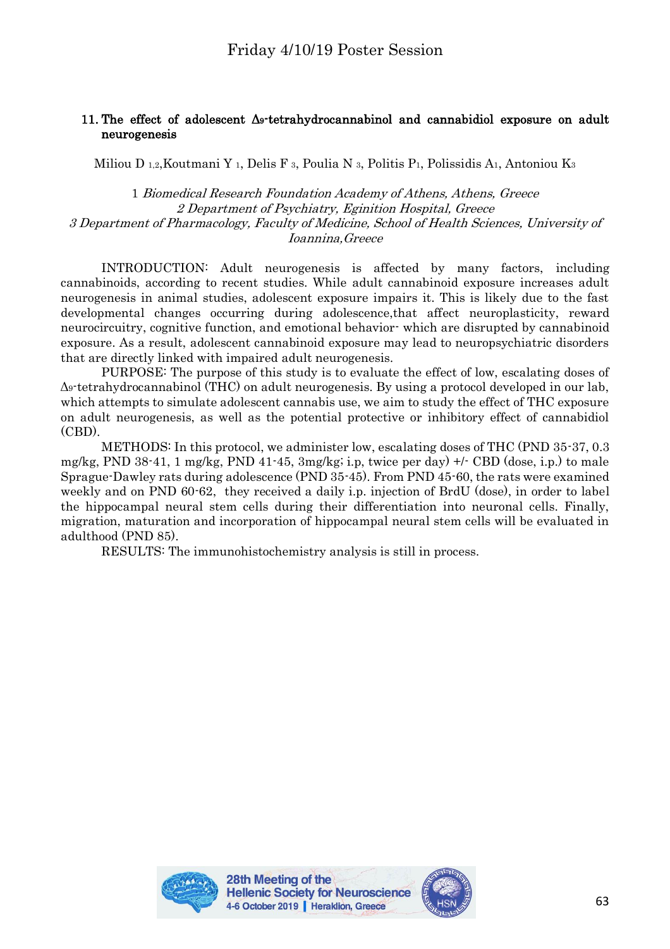## 11. The effect of adolescent Δ9-tetrahydrocannabinol and cannabidiol exposure on adult neurogenesis

Miliou D 1,2, Koutmani Y 1, Delis F 3, Poulia N 3, Politis P1, Polissidis A1, Antoniou K3

1 Biomedical Research Foundation Academy of Athens, Athens, Greece 2 Department of Psychiatry, Eginition Hospital, Greece 3 Department of Pharmacology, Faculty of Medicine, School of Health Sciences, University of Ioannina,Greece

INTRODUCTION: Adult neurogenesis is affected by many factors, including cannabinoids, according to recent studies. While adult cannabinoid exposure increases adult neurogenesis in animal studies, adolescent exposure impairs it. This is likely due to the fast developmental changes occurring during adolescence,that affect neuroplasticity, reward neurocircuitry, cognitive function, and emotional behavior- which are disrupted by cannabinoid exposure. As a result, adolescent cannabinoid exposure may lead to neuropsychiatric disorders that are directly linked with impaired adult neurogenesis.

PURPOSE: The purpose of this study is to evaluate the effect of low, escalating doses of Δ9-tetrahydrocannabinol (THC) on adult neurogenesis. By using a protocol developed in our lab, which attempts to simulate adolescent cannabis use, we aim to study the effect of THC exposure on adult neurogenesis, as well as the potential protective or inhibitory effect of cannabidiol (CBD).

METHODS: In this protocol, we administer low, escalating doses of THC (PND 35-37, 0.3 mg/kg, PND 38-41, 1 mg/kg, PND 41-45, 3mg/kg; i.p, twice per day) +/- CBD (dose, i.p.) to male Sprague-Dawley rats during adolescence (PND 35-45). From PND 45-60, the rats were examined weekly and on PND 60-62, they received a daily i.p. injection of BrdU (dose), in order to label the hippocampal neural stem cells during their differentiation into neuronal cells. Finally, migration, maturation and incorporation of hippocampal neural stem cells will be evaluated in adulthood (PND 85).

RESULTS: The immunohistochemistry analysis is still in process.



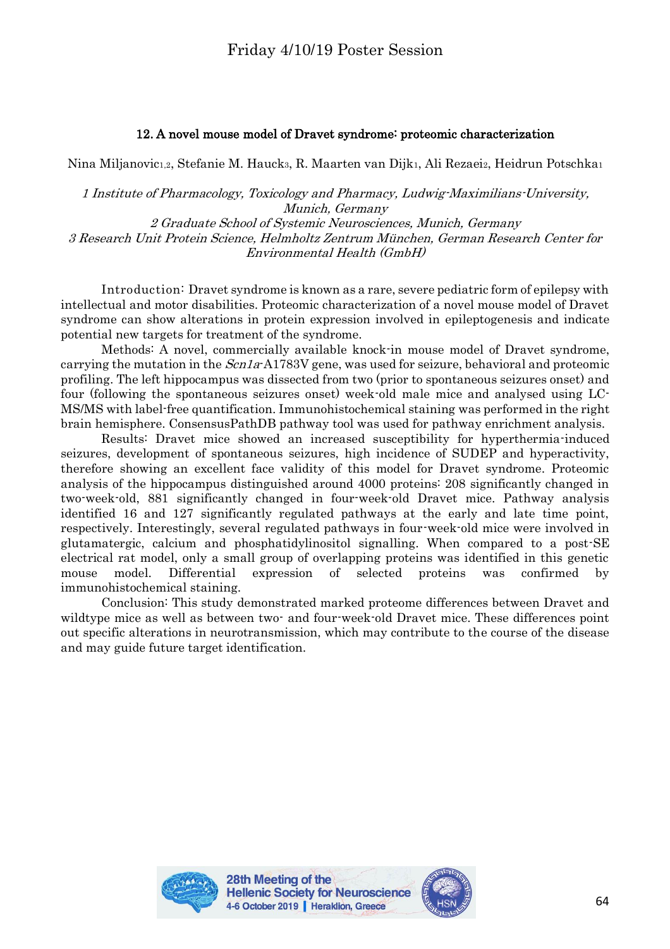## 12. A novel mouse model of Dravet syndrome: proteomic characterization

Nina Miljanovic1,2, Stefanie M. Hauck3, R. Maarten van Dijk1, Ali Rezaei2, Heidrun Potschka1

1 Institute of Pharmacology, Toxicology and Pharmacy, Ludwig-Maximilians-University, Munich, Germany 2 Graduate School of Systemic Neurosciences, Munich, Germany 3 Research Unit Protein Science, Helmholtz Zentrum München, German Research Center for Environmental Health (GmbH)

Introduction: Dravet syndrome is known as a rare, severe pediatric form of epilepsy with intellectual and motor disabilities. Proteomic characterization of a novel mouse model of Dravet syndrome can show alterations in protein expression involved in epileptogenesis and indicate potential new targets for treatment of the syndrome.

Methods: A novel, commercially available knock-in mouse model of Dravet syndrome, carrying the mutation in the  $Scn1a$ -A1783V gene, was used for seizure, behavioral and proteomic profiling. The left hippocampus was dissected from two (prior to spontaneous seizures onset) and four (following the spontaneous seizures onset) week-old male mice and analysed using LC-MS/MS with label-free quantification. Immunohistochemical staining was performed in the right brain hemisphere. ConsensusPathDB pathway tool was used for pathway enrichment analysis.

Results: Dravet mice showed an increased susceptibility for hyperthermia-induced seizures, development of spontaneous seizures, high incidence of SUDEP and hyperactivity, therefore showing an excellent face validity of this model for Dravet syndrome. Proteomic analysis of the hippocampus distinguished around 4000 proteins: 208 significantly changed in two-week-old, 881 significantly changed in four-week-old Dravet mice. Pathway analysis identified 16 and 127 significantly regulated pathways at the early and late time point, respectively. Interestingly, several regulated pathways in four-week-old mice were involved in glutamatergic, calcium and phosphatidylinositol signalling. When compared to a post-SE electrical rat model, only a small group of overlapping proteins was identified in this genetic mouse model. Differential expression of selected proteins was confirmed by immunohistochemical staining.

Conclusion: This study demonstrated marked proteome differences between Dravet and wildtype mice as well as between two- and four-week-old Dravet mice. These differences point out specific alterations in neurotransmission, which may contribute to the course of the disease and may guide future target identification.



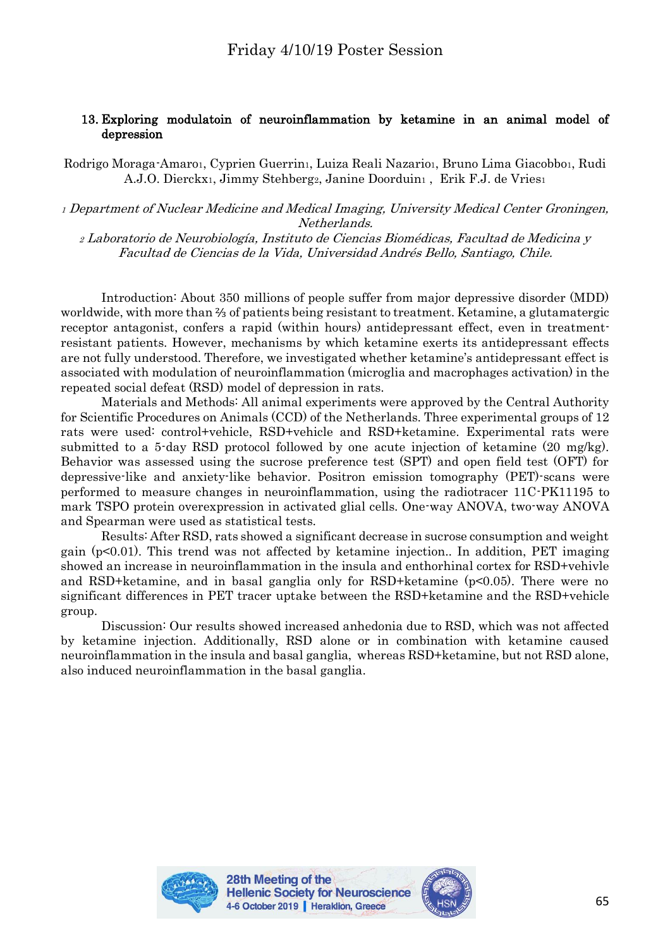# 13. Exploring modulatoin of neuroinflammation by ketamine in an animal model of depression

Rodrigo Moraga-Amaro1, Cyprien Guerrin1, Luiza Reali Nazario1, Bruno Lima Giacobbo1, Rudi A.J.O. Dierckx1, Jimmy Stehberg2, Janine Doorduin1, Erik F.J. de Vries1

<sup>1</sup> Department of Nuclear Medicine and Medical Imaging, University Medical Center Groningen, Netherlands.

<sup>2</sup> Laboratorio de Neurobiología, Instituto de Ciencias Biomédicas, Facultad de Medicina y Facultad de Ciencias de la Vida, Universidad Andrés Bello, Santiago, Chile.

Introduction: About 350 millions of people suffer from major depressive disorder (MDD) worldwide, with more than ⅔ of patients being resistant to treatment. Ketamine, a glutamatergic receptor antagonist, confers a rapid (within hours) antidepressant effect, even in treatmentresistant patients. However, mechanisms by which ketamine exerts its antidepressant effects are not fully understood. Therefore, we investigated whether ketamine's antidepressant effect is associated with modulation of neuroinflammation (microglia and macrophages activation) in the repeated social defeat (RSD) model of depression in rats.

Materials and Methods: All animal experiments were approved by the Central Authority for Scientific Procedures on Animals (CCD) of the Netherlands. Three experimental groups of 12 rats were used: control+vehicle, RSD+vehicle and RSD+ketamine. Experimental rats were submitted to a 5-day RSD protocol followed by one acute injection of ketamine (20 mg/kg). Behavior was assessed using the sucrose preference test (SPT) and open field test (OFT) for depressive-like and anxiety-like behavior. Positron emission tomography (PET)-scans were performed to measure changes in neuroinflammation, using the radiotracer 11C-PK11195 to mark TSPO protein overexpression in activated glial cells. One-way ANOVA, two-way ANOVA and Spearman were used as statistical tests.

Results: After RSD, rats showed a significant decrease in sucrose consumption and weight gain  $(p<0.01)$ . This trend was not affected by ketamine injection. In addition, PET imaging showed an increase in neuroinflammation in the insula and enthorhinal cortex for RSD+vehivle and RSD+ketamine, and in basal ganglia only for RSD+ketamine (p<0.05). There were no significant differences in PET tracer uptake between the RSD+ketamine and the RSD+vehicle group.

Discussion: Our results showed increased anhedonia due to RSD, which was not affected by ketamine injection. Additionally, RSD alone or in combination with ketamine caused neuroinflammation in the insula and basal ganglia, whereas RSD+ketamine, but not RSD alone, also induced neuroinflammation in the basal ganglia.



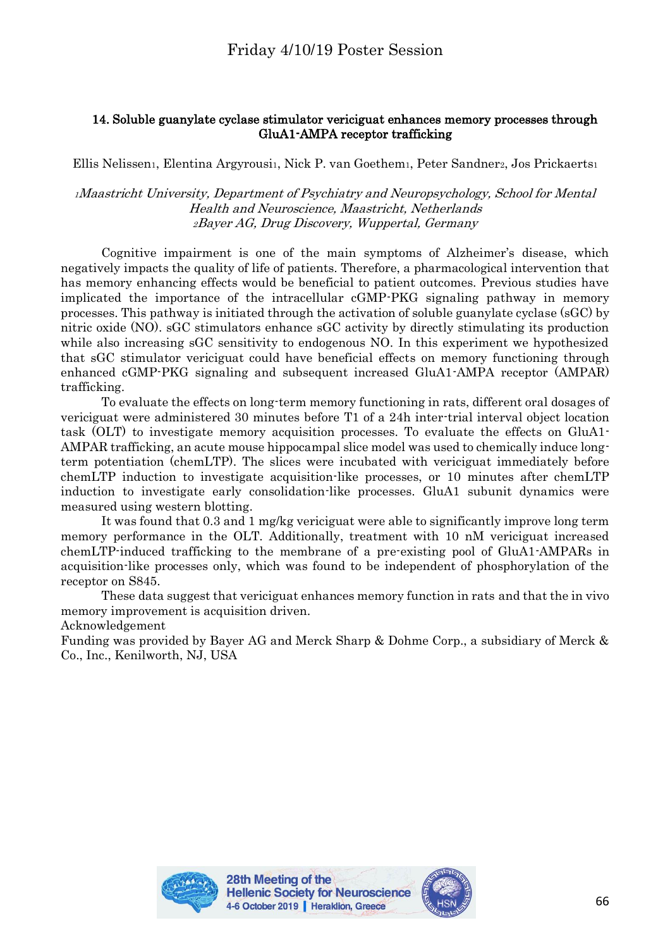## 14. Soluble guanylate cyclase stimulator vericiguat enhances memory processes through GluA1-AMPA receptor trafficking

Ellis Nelissen1, Elentina Argyrousi1, Nick P. van Goethem1, Peter Sandner2, Jos Prickaerts1

<sup>1</sup>Maastricht University, Department of Psychiatry and Neuropsychology, School for Mental Health and Neuroscience, Maastricht, Netherlands <sup>2</sup>Bayer AG, Drug Discovery, Wuppertal, Germany

Cognitive impairment is one of the main symptoms of Alzheimer's disease, which negatively impacts the quality of life of patients. Therefore, a pharmacological intervention that has memory enhancing effects would be beneficial to patient outcomes. Previous studies have implicated the importance of the intracellular cGMP-PKG signaling pathway in memory processes. This pathway is initiated through the activation of soluble guanylate cyclase (sGC) by nitric oxide (NO). sGC stimulators enhance sGC activity by directly stimulating its production while also increasing sGC sensitivity to endogenous NO. In this experiment we hypothesized that sGC stimulator vericiguat could have beneficial effects on memory functioning through enhanced cGMP-PKG signaling and subsequent increased GluA1-AMPA receptor (AMPAR) trafficking.

To evaluate the effects on long-term memory functioning in rats, different oral dosages of vericiguat were administered 30 minutes before T1 of a 24h inter-trial interval object location task (OLT) to investigate memory acquisition processes. To evaluate the effects on GluA1- AMPAR trafficking, an acute mouse hippocampal slice model was used to chemically induce longterm potentiation (chemLTP). The slices were incubated with vericiguat immediately before chemLTP induction to investigate acquisition-like processes, or 10 minutes after chemLTP induction to investigate early consolidation-like processes. GluA1 subunit dynamics were measured using western blotting.

It was found that 0.3 and 1 mg/kg vericiguat were able to significantly improve long term memory performance in the OLT. Additionally, treatment with 10 nM vericiguat increased chemLTP-induced trafficking to the membrane of a pre-existing pool of GluA1-AMPARs in acquisition-like processes only, which was found to be independent of phosphorylation of the receptor on S845.

These data suggest that vericiguat enhances memory function in rats and that the in vivo memory improvement is acquisition driven.

Acknowledgement

Funding was provided by Bayer AG and Merck Sharp & Dohme Corp., a subsidiary of Merck & Co., Inc., Kenilworth, NJ, USA



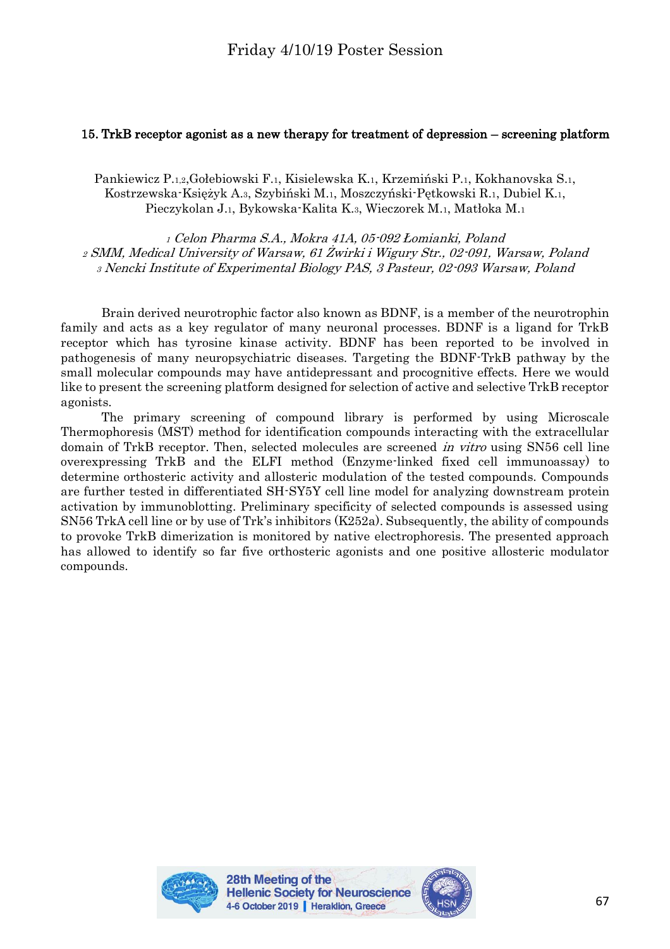# 15. TrkB receptor agonist as a new therapy for treatment of depression – screening platform

Pankiewicz P.1,2,Gołebiowski F.1, Kisielewska K.1, Krzemiński P.1, Kokhanovska S.1, Kostrzewska-Księżyk A.3, Szybiński M.1, Moszczyński-Pętkowski R.1, Dubiel K.1, Pieczykolan J.1, Bykowska-Kalita K.3, Wieczorek M.1, Matłoka M.<sup>1</sup>

<sup>1</sup> Celon Pharma S.A., Mokra 41A, 05-092 Łomianki, Poland <sup>2</sup> SMM, Medical University of Warsaw, 61 Żwirki i Wigury Str., 02-091, Warsaw, Poland <sup>3</sup> Nencki Institute of Experimental Biology PAS, 3 Pasteur, 02-093 Warsaw, Poland

Brain derived neurotrophic factor also known as BDNF, is a member of the neurotrophin family and acts as a key regulator of many neuronal processes. BDNF is a ligand for TrkB receptor which has tyrosine kinase activity. BDNF has been reported to be involved in pathogenesis of many neuropsychiatric diseases. Targeting the BDNF-TrkB pathway by the small molecular compounds may have antidepressant and procognitive effects. Here we would like to present the screening platform designed for selection of active and selective TrkB receptor agonists.

The primary screening of compound library is performed by using Microscale Thermophoresis (MST) method for identification compounds interacting with the extracellular domain of TrkB receptor. Then, selected molecules are screened in vitro using SN56 cell line overexpressing TrkB and the ELFI method (Enzyme-linked fixed cell immunoassay) to determine orthosteric activity and allosteric modulation of the tested compounds. Compounds are further tested in differentiated SH-SY5Y cell line model for analyzing downstream protein activation by immunoblotting. Preliminary specificity of selected compounds is assessed using SN56 TrkA cell line or by use of Trk's inhibitors (K252a). Subsequently, the ability of compounds to provoke TrkB dimerization is monitored by native electrophoresis. The presented approach has allowed to identify so far five orthosteric agonists and one positive allosteric modulator compounds.



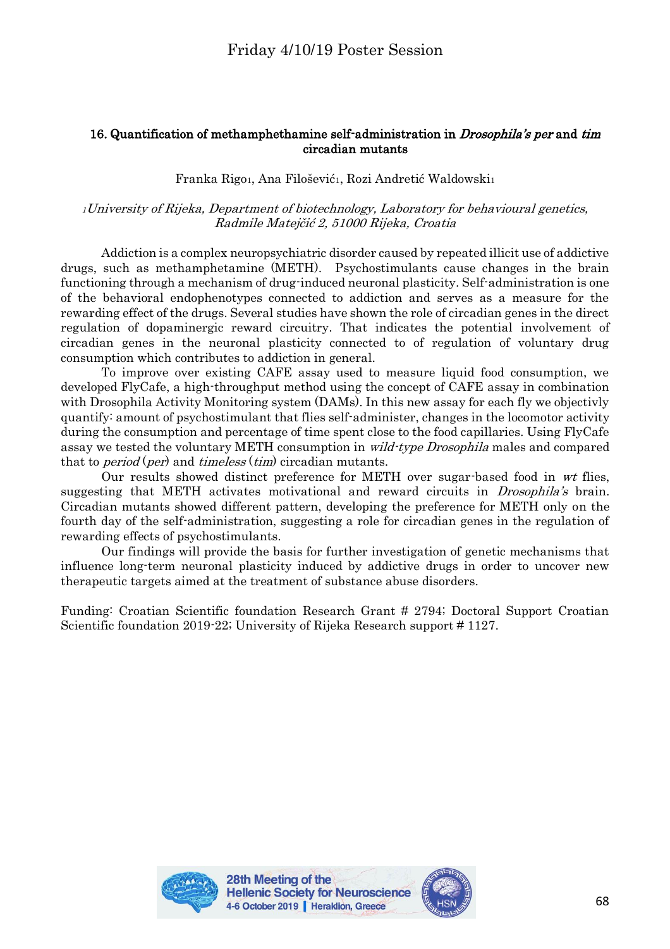# 16. Quantification of methamphethamine self-administration in *Drosophila's per* and tim circadian mutants

Franka Rigo1, Ana Filošević1, Rozi Andretić Waldowski1

## <sup>1</sup>University of Rijeka, Department of biotechnology, Laboratory for behavioural genetics, Radmile Matejčić 2, 51000 Rijeka, Croatia

Addiction is a complex neuropsychiatric disorder caused by repeated illicit use of addictive drugs, such as methamphetamine (METH). Psychostimulants cause changes in the brain functioning through a mechanism of drug-induced neuronal plasticity. Self-administration is one of the behavioral endophenotypes connected to addiction and serves as a measure for the rewarding effect of the drugs. Several studies have shown the role of circadian genes in the direct regulation of dopaminergic reward circuitry. That indicates the potential involvement of circadian genes in the neuronal plasticity connected to of regulation of voluntary drug consumption which contributes to addiction in general.

To improve over existing CAFE assay used to measure liquid food consumption, we developed FlyCafe, a high-throughput method using the concept of CAFE assay in combination with Drosophila Activity Monitoring system (DAMs). In this new assay for each fly we objectivly quantify: amount of psychostimulant that flies self-administer, changes in the locomotor activity during the consumption and percentage of time spent close to the food capillaries. Using FlyCafe assay we tested the voluntary METH consumption in *wild-type Drosophila* males and compared that to *period* (*per*) and *timeless* (*tim*) circadian mutants.

Our results showed distinct preference for METH over sugar-based food in wt flies, suggesting that METH activates motivational and reward circuits in *Drosophila's* brain. Circadian mutants showed different pattern, developing the preference for METH only on the fourth day of the self-administration, suggesting a role for circadian genes in the regulation of rewarding effects of psychostimulants.

Our findings will provide the basis for further investigation of genetic mechanisms that influence long-term neuronal plasticity induced by addictive drugs in order to uncover new therapeutic targets aimed at the treatment of substance abuse disorders.

Funding: Croatian Scientific foundation Research Grant # 2794; Doctoral Support Croatian Scientific foundation 2019-22; University of Rijeka Research support # 1127.



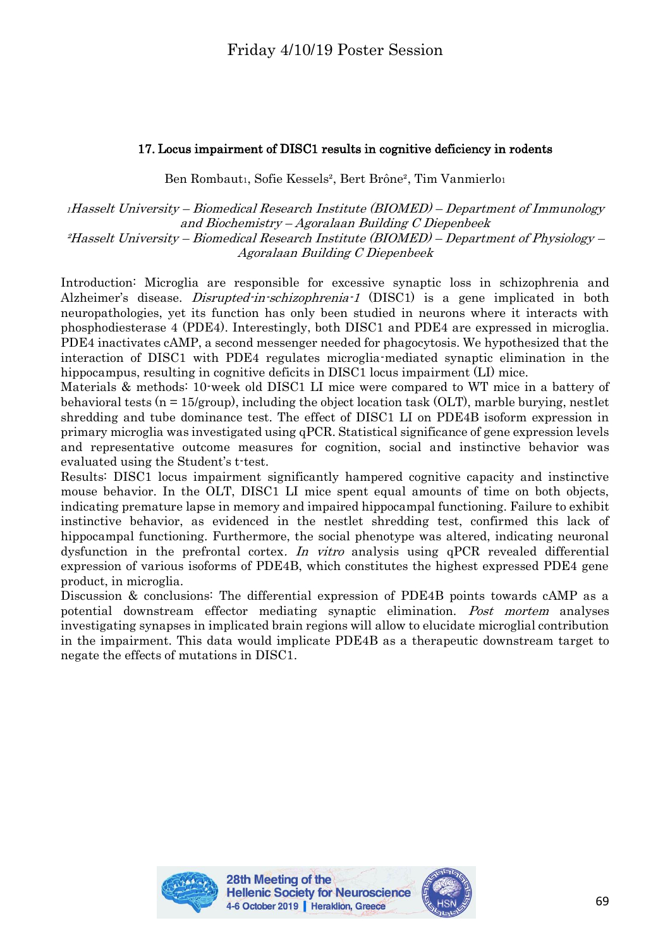# 17. Locus impairment of DISC1 results in cognitive deficiency in rodents

Ben Rombaut1, Sofie Kessels², Bert Brône², Tim Vanmierlo<sup>1</sup>

<sup>1</sup>Hasselt University – Biomedical Research Institute (BIOMED) – Department of Immunology and Biochemistry – Agoralaan Building C Diepenbeek ²Hasselt University – Biomedical Research Institute (BIOMED) – Department of Physiology – Agoralaan Building C Diepenbeek

Introduction: Microglia are responsible for excessive synaptic loss in schizophrenia and Alzheimer's disease. *Disrupted-in-schizophrenia-1* (DISC1) is a gene implicated in both neuropathologies, yet its function has only been studied in neurons where it interacts with phosphodiesterase 4 (PDE4). Interestingly, both DISC1 and PDE4 are expressed in microglia. PDE4 inactivates cAMP, a second messenger needed for phagocytosis. We hypothesized that the interaction of DISC1 with PDE4 regulates microglia-mediated synaptic elimination in the hippocampus, resulting in cognitive deficits in DISC1 locus impairment (LI) mice.

Materials & methods: 10-week old DISC1 LI mice were compared to WT mice in a battery of behavioral tests  $(n = 15/$ group), including the object location task  $(OLT)$ , marble burying, nestlet shredding and tube dominance test. The effect of DISC1 LI on PDE4B isoform expression in primary microglia was investigated using qPCR. Statistical significance of gene expression levels and representative outcome measures for cognition, social and instinctive behavior was evaluated using the Student's t-test.

Results: DISC1 locus impairment significantly hampered cognitive capacity and instinctive mouse behavior. In the OLT, DISC1 LI mice spent equal amounts of time on both objects, indicating premature lapse in memory and impaired hippocampal functioning. Failure to exhibit instinctive behavior, as evidenced in the nestlet shredding test, confirmed this lack of hippocampal functioning. Furthermore, the social phenotype was altered, indicating neuronal dysfunction in the prefrontal cortex. In vitro analysis using qPCR revealed differential expression of various isoforms of PDE4B, which constitutes the highest expressed PDE4 gene product, in microglia.

Discussion & conclusions: The differential expression of PDE4B points towards cAMP as a potential downstream effector mediating synaptic elimination. Post mortem analyses investigating synapses in implicated brain regions will allow to elucidate microglial contribution in the impairment. This data would implicate PDE4B as a therapeutic downstream target to negate the effects of mutations in DISC1.



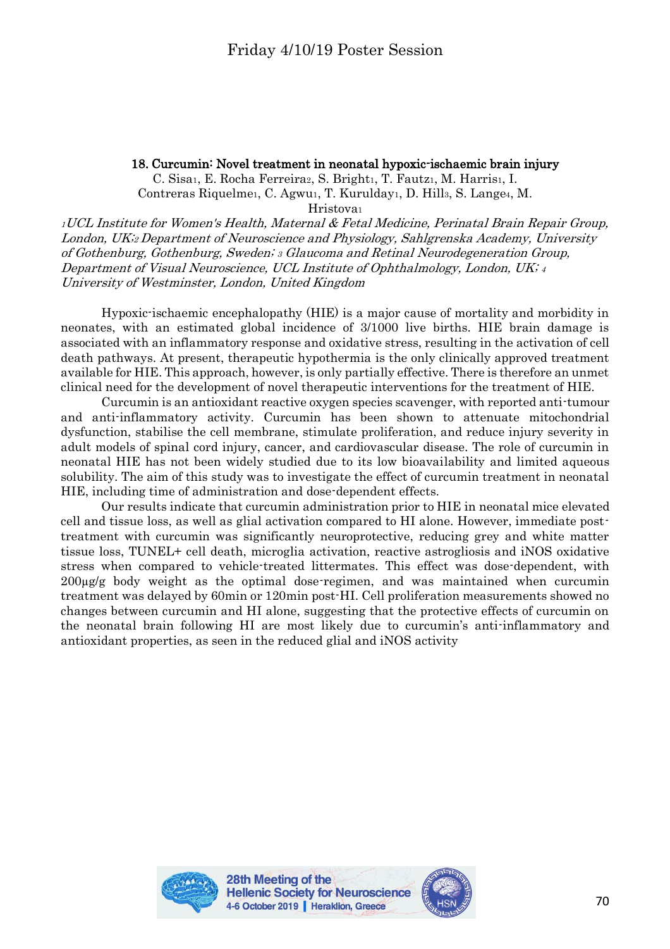# 18. Curcumin: Novel treatment in neonatal hypoxic-ischaemic brain injury

C. Sisai, E. Rocha Ferreiraz, S. Brighti, T. Fautzi, M. Harrisi, I. Contreras Riquelmei, C. Agwui, T. Kuruldayi, D. Hills, S. Lange<sub>4</sub>, M.

Hristova<sup>1</sup>

<sup>1</sup>UCL Institute for Women's Health, Maternal & Fetal Medicine, Perinatal Brain Repair Group, London, UK;2 Department of Neuroscience and Physiology, Sahlgrenska Academy, University of Gothenburg, Gothenburg, Sweden; <sup>3</sup> Glaucoma and Retinal Neurodegeneration Group, Department of Visual Neuroscience, UCL Institute of Ophthalmology, London, UK; <sup>4</sup> University of Westminster, London, United Kingdom

Hypoxic-ischaemic encephalopathy (HIE) is a major cause of mortality and morbidity in neonates, with an estimated global incidence of 3/1000 live births. HIE brain damage is associated with an inflammatory response and oxidative stress, resulting in the activation of cell death pathways. At present, therapeutic hypothermia is the only clinically approved treatment available for HIE. This approach, however, is only partially effective. There is therefore an unmet clinical need for the development of novel therapeutic interventions for the treatment of HIE.

Curcumin is an antioxidant reactive oxygen species scavenger, with reported anti-tumour and anti-inflammatory activity. Curcumin has been shown to attenuate mitochondrial dysfunction, stabilise the cell membrane, stimulate proliferation, and reduce injury severity in adult models of spinal cord injury, cancer, and cardiovascular disease. The role of curcumin in neonatal HIE has not been widely studied due to its low bioavailability and limited aqueous solubility. The aim of this study was to investigate the effect of curcumin treatment in neonatal HIE, including time of administration and dose-dependent effects.

Our results indicate that curcumin administration prior to HIE in neonatal mice elevated cell and tissue loss, as well as glial activation compared to HI alone. However, immediate posttreatment with curcumin was significantly neuroprotective, reducing grey and white matter tissue loss, TUNEL+ cell death, microglia activation, reactive astrogliosis and iNOS oxidative stress when compared to vehicle-treated littermates. This effect was dose-dependent, with  $200\mu\text{g/g}$  body weight as the optimal dose-regimen, and was maintained when curcumin treatment was delayed by 60min or 120min post-HI. Cell proliferation measurements showed no changes between curcumin and HI alone, suggesting that the protective effects of curcumin on the neonatal brain following HI are most likely due to curcumin's anti-inflammatory and antioxidant properties, as seen in the reduced glial and iNOS activity



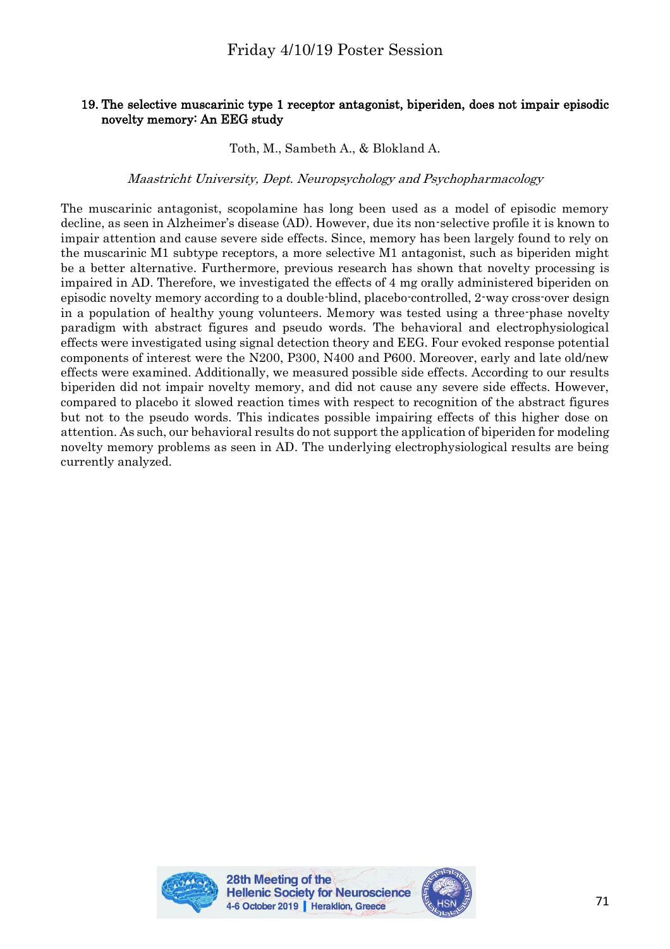## 19. The selective muscarinic type 1 receptor antagonist, biperiden, does not impair episodic novelty memory: An EEG study

Toth, M., Sambeth A., & Blokland A.

## Maastricht University, Dept. Neuropsychology and Psychopharmacology

The muscarinic antagonist, scopolamine has long been used as a model of episodic memory decline, as seen in Alzheimer's disease (AD). However, due its non-selective profile it is known to impair attention and cause severe side effects. Since, memory has been largely found to rely on the muscarinic M1 subtype receptors, a more selective M1 antagonist, such as biperiden might be a better alternative. Furthermore, previous research has shown that novelty processing is impaired in AD. Therefore, we investigated the effects of 4 mg orally administered biperiden on episodic novelty memory according to a double-blind, placebo-controlled, 2-way cross-over design in a population of healthy young volunteers. Memory was tested using a three-phase novelty paradigm with abstract figures and pseudo words. The behavioral and electrophysiological effects were investigated using signal detection theory and EEG. Four evoked response potential components of interest were the N200, P300, N400 and P600. Moreover, early and late old/new effects were examined. Additionally, we measured possible side effects. According to our results biperiden did not impair novelty memory, and did not cause any severe side effects. However, compared to placebo it slowed reaction times with respect to recognition of the abstract figures but not to the pseudo words. This indicates possible impairing effects of this higher dose on attention. As such, our behavioral results do not support the application of biperiden for modeling novelty memory problems as seen in AD. The underlying electrophysiological results are being currently analyzed.



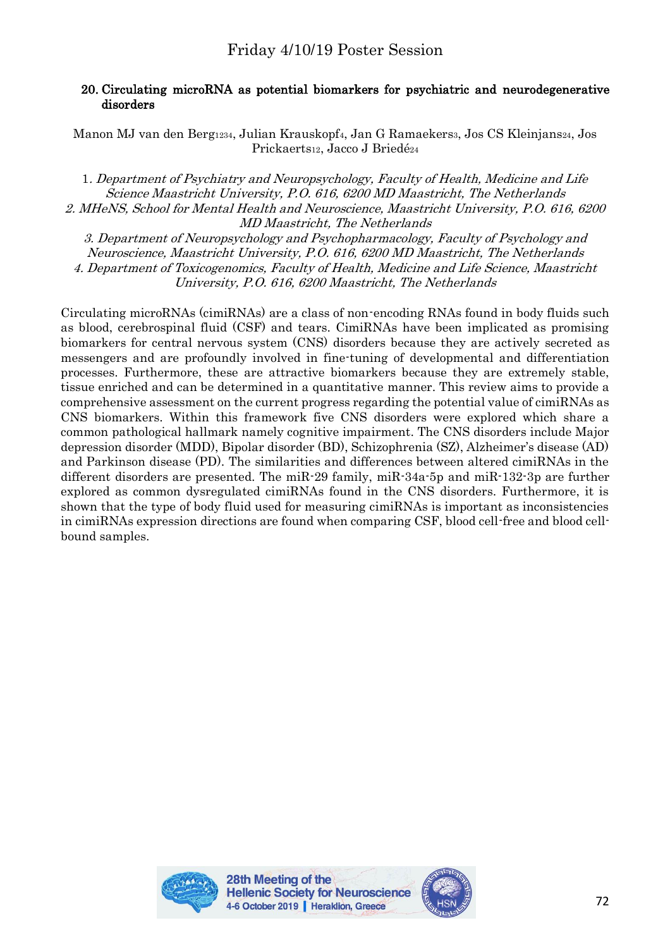## 20. Circulating microRNA as potential biomarkers for psychiatric and neurodegenerative disorders

Manon MJ van den Berg1234, Julian Krauskopf4, Jan G Ramaekers3, Jos CS Kleinjans24, Jos Prickaerts12, Jacco J Briedé<sup>24</sup>

1. Department of Psychiatry and Neuropsychology, Faculty of Health, Medicine and Life Science Maastricht University, P.O. 616, 6200 MD Maastricht, The Netherlands 2. MHeNS, School for Mental Health and Neuroscience, Maastricht University, P.O. 616, 6200 MD Maastricht, The Netherlands

3. Department of Neuropsychology and Psychopharmacology, Faculty of Psychology and Neuroscience, Maastricht University, P.O. 616, 6200 MD Maastricht, The Netherlands 4. Department of Toxicogenomics, Faculty of Health, Medicine and Life Science, Maastricht University, P.O. 616, 6200 Maastricht, The Netherlands

Circulating microRNAs (cimiRNAs) are a class of non-encoding RNAs found in body fluids such as blood, cerebrospinal fluid (CSF) and tears. CimiRNAs have been implicated as promising biomarkers for central nervous system (CNS) disorders because they are actively secreted as messengers and are profoundly involved in fine-tuning of developmental and differentiation processes. Furthermore, these are attractive biomarkers because they are extremely stable, tissue enriched and can be determined in a quantitative manner. This review aims to provide a comprehensive assessment on the current progress regarding the potential value of cimiRNAs as CNS biomarkers. Within this framework five CNS disorders were explored which share a common pathological hallmark namely cognitive impairment. The CNS disorders include Major depression disorder (MDD), Bipolar disorder (BD), Schizophrenia (SZ), Alzheimer's disease (AD) and Parkinson disease (PD). The similarities and differences between altered cimiRNAs in the different disorders are presented. The miR-29 family, miR-34a-5p and miR-132-3p are further explored as common dysregulated cimiRNAs found in the CNS disorders. Furthermore, it is shown that the type of body fluid used for measuring cimiRNAs is important as inconsistencies in cimiRNAs expression directions are found when comparing CSF, blood cell-free and blood cellbound samples.



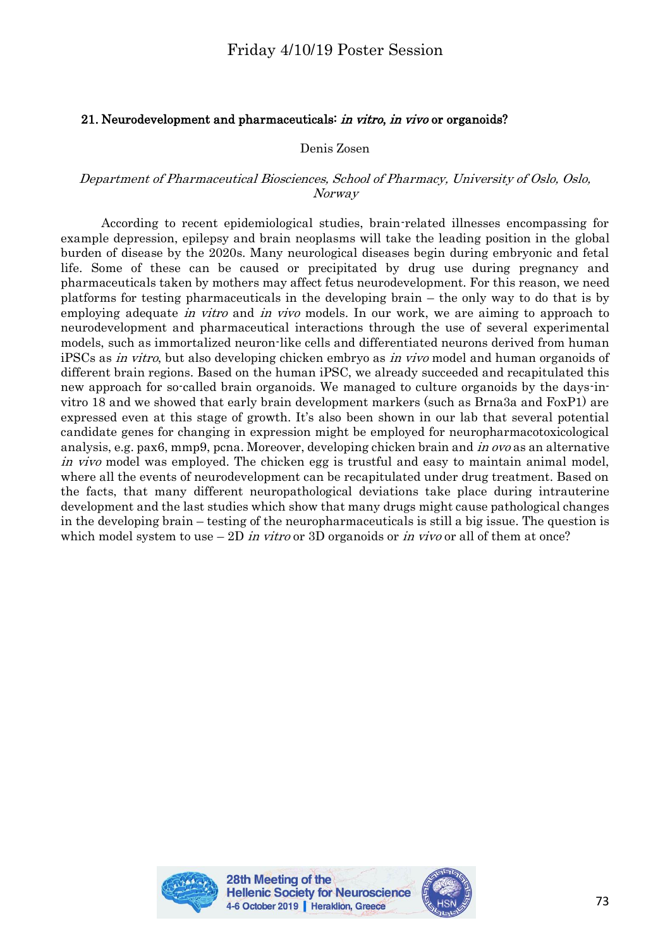## 21. Neurodevelopment and pharmaceuticals: in vitro, in vivo or organoids?

#### Denis Zosen

#### Department of Pharmaceutical Biosciences, School of Pharmacy, University of Oslo, Oslo, Norway

According to recent epidemiological studies, brain-related illnesses encompassing for example depression, epilepsy and brain neoplasms will take the leading position in the global burden of disease by the 2020s. Many neurological diseases begin during embryonic and fetal life. Some of these can be caused or precipitated by drug use during pregnancy and pharmaceuticals taken by mothers may affect fetus neurodevelopment. For this reason, we need platforms for testing pharmaceuticals in the developing brain – the only way to do that is by employing adequate *in vitro* and *in vivo* models. In our work, we are aiming to approach to neurodevelopment and pharmaceutical interactions through the use of several experimental models, such as immortalized neuron-like cells and differentiated neurons derived from human iPSCs as in vitro, but also developing chicken embryo as in vivo model and human organoids of different brain regions. Based on the human iPSC, we already succeeded and recapitulated this new approach for so-called brain organoids. We managed to culture organoids by the days-invitro 18 and we showed that early brain development markers (such as Brna3a and FoxP1) are expressed even at this stage of growth. It's also been shown in our lab that several potential candidate genes for changing in expression might be employed for neuropharmacotoxicological analysis, e.g. pax6, mmp9, pcna. Moreover, developing chicken brain and *in ovo* as an alternative in vivo model was employed. The chicken egg is trustful and easy to maintain animal model, where all the events of neurodevelopment can be recapitulated under drug treatment. Based on the facts, that many different neuropathological deviations take place during intrauterine development and the last studies which show that many drugs might cause pathological changes in the developing brain – testing of the neuropharmaceuticals is still a big issue. The question is which model system to use  $-2D$  in vitro or 3D organoids or in vivo or all of them at once?



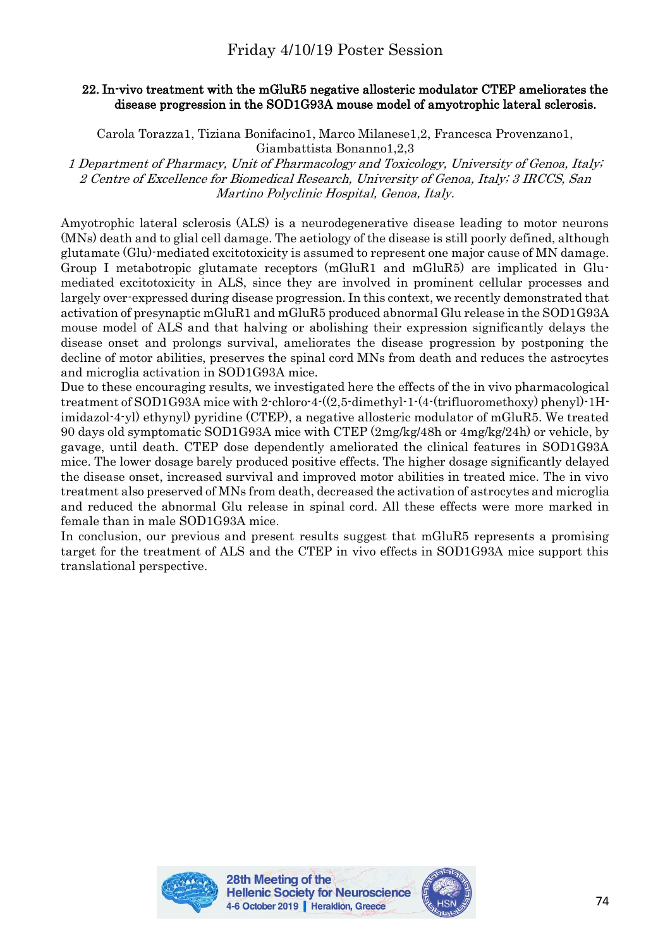# Friday 4/10/19 Poster Session

## 22. In-vivo treatment with the mGluR5 negative allosteric modulator CTEP ameliorates the disease progression in the SOD1G93A mouse model of amyotrophic lateral sclerosis.

Carola Torazza1, Tiziana Bonifacino1, Marco Milanese1,2, Francesca Provenzano1, Giambattista Bonanno1,2,3

1 Department of Pharmacy, Unit of Pharmacology and Toxicology, University of Genoa, Italy; 2 Centre of Excellence for Biomedical Research, University of Genoa, Italy; 3 IRCCS, San Martino Polyclinic Hospital, Genoa, Italy.

Amyotrophic lateral sclerosis (ALS) is a neurodegenerative disease leading to motor neurons (MNs) death and to glial cell damage. The aetiology of the disease is still poorly defined, although glutamate (Glu)-mediated excitotoxicity is assumed to represent one major cause of MN damage. Group I metabotropic glutamate receptors (mGluR1 and mGluR5) are implicated in Glumediated excitotoxicity in ALS, since they are involved in prominent cellular processes and largely over-expressed during disease progression. In this context, we recently demonstrated that activation of presynaptic mGluR1 and mGluR5 produced abnormal Glu release in the SOD1G93A mouse model of ALS and that halving or abolishing their expression significantly delays the disease onset and prolongs survival, ameliorates the disease progression by postponing the decline of motor abilities, preserves the spinal cord MNs from death and reduces the astrocytes and microglia activation in SOD1G93A mice.

Due to these encouraging results, we investigated here the effects of the in vivo pharmacological treatment of SOD1G93A mice with 2-chloro-4-((2,5-dimethyl-1-(4-(trifluoromethoxy) phenyl)-1Himidazol-4-yl) ethynyl) pyridine (CTEP), a negative allosteric modulator of mGluR5. We treated 90 days old symptomatic SOD1G93A mice with CTEP (2mg/kg/48h or 4mg/kg/24h) or vehicle, by gavage, until death. CTEP dose dependently ameliorated the clinical features in SOD1G93A mice. The lower dosage barely produced positive effects. The higher dosage significantly delayed the disease onset, increased survival and improved motor abilities in treated mice. The in vivo treatment also preserved of MNs from death, decreased the activation of astrocytes and microglia and reduced the abnormal Glu release in spinal cord. All these effects were more marked in female than in male SOD1G93A mice.

In conclusion, our previous and present results suggest that mGluR5 represents a promising target for the treatment of ALS and the CTEP in vivo effects in SOD1G93A mice support this translational perspective.